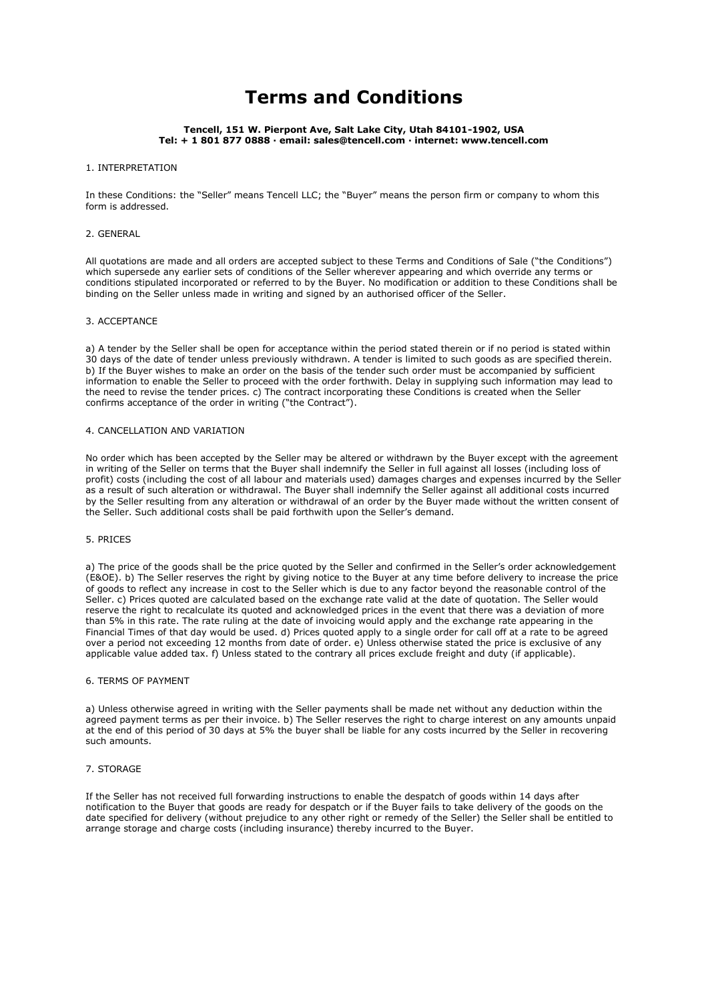# **Terms and Conditions**

#### **Tencell, 151 W. Pierpont Ave, Salt Lake City, Utah 84101-1902, USA Tel: + 1 801 877 0888 · email: sales@tencell.com · internet: www.tencell.com**

# 1. INTERPRETATION

In these Conditions: the "Seller" means Tencell LLC; the "Buyer" means the person firm or company to whom this form is addressed.

## 2. GENERAL

All quotations are made and all orders are accepted subject to these Terms and Conditions of Sale ("the Conditions") which supersede any earlier sets of conditions of the Seller wherever appearing and which override any terms or conditions stipulated incorporated or referred to by the Buyer. No modification or addition to these Conditions shall be binding on the Seller unless made in writing and signed by an authorised officer of the Seller.

# 3. ACCEPTANCE

a) A tender by the Seller shall be open for acceptance within the period stated therein or if no period is stated within 30 days of the date of tender unless previously withdrawn. A tender is limited to such goods as are specified therein. b) If the Buyer wishes to make an order on the basis of the tender such order must be accompanied by sufficient information to enable the Seller to proceed with the order forthwith. Delay in supplying such information may lead to the need to revise the tender prices. c) The contract incorporating these Conditions is created when the Seller confirms acceptance of the order in writing ("the Contract").

#### 4. CANCELLATION AND VARIATION

No order which has been accepted by the Seller may be altered or withdrawn by the Buyer except with the agreement in writing of the Seller on terms that the Buyer shall indemnify the Seller in full against all losses (including loss of profit) costs (including the cost of all labour and materials used) damages charges and expenses incurred by the Seller as a result of such alteration or withdrawal. The Buyer shall indemnify the Seller against all additional costs incurred by the Seller resulting from any alteration or withdrawal of an order by the Buyer made without the written consent of the Seller. Such additional costs shall be paid forthwith upon the Seller's demand.

# 5. PRICES

a) The price of the goods shall be the price quoted by the Seller and confirmed in the Seller's order acknowledgement (E&OE). b) The Seller reserves the right by giving notice to the Buyer at any time before delivery to increase the price of goods to reflect any increase in cost to the Seller which is due to any factor beyond the reasonable control of the Seller. c) Prices quoted are calculated based on the exchange rate valid at the date of quotation. The Seller would reserve the right to recalculate its quoted and acknowledged prices in the event that there was a deviation of more than 5% in this rate. The rate ruling at the date of invoicing would apply and the exchange rate appearing in the Financial Times of that day would be used. d) Prices quoted apply to a single order for call off at a rate to be agreed over a period not exceeding 12 months from date of order. e) Unless otherwise stated the price is exclusive of any applicable value added tax. f) Unless stated to the contrary all prices exclude freight and duty (if applicable).

#### 6. TERMS OF PAYMENT

a) Unless otherwise agreed in writing with the Seller payments shall be made net without any deduction within the agreed payment terms as per their invoice. b) The Seller reserves the right to charge interest on any amounts unpaid at the end of this period of 30 days at 5% the buyer shall be liable for any costs incurred by the Seller in recovering such amounts.

## 7. STORAGE

If the Seller has not received full forwarding instructions to enable the despatch of goods within 14 days after notification to the Buyer that goods are ready for despatch or if the Buyer fails to take delivery of the goods on the date specified for delivery (without prejudice to any other right or remedy of the Seller) the Seller shall be entitled to arrange storage and charge costs (including insurance) thereby incurred to the Buyer.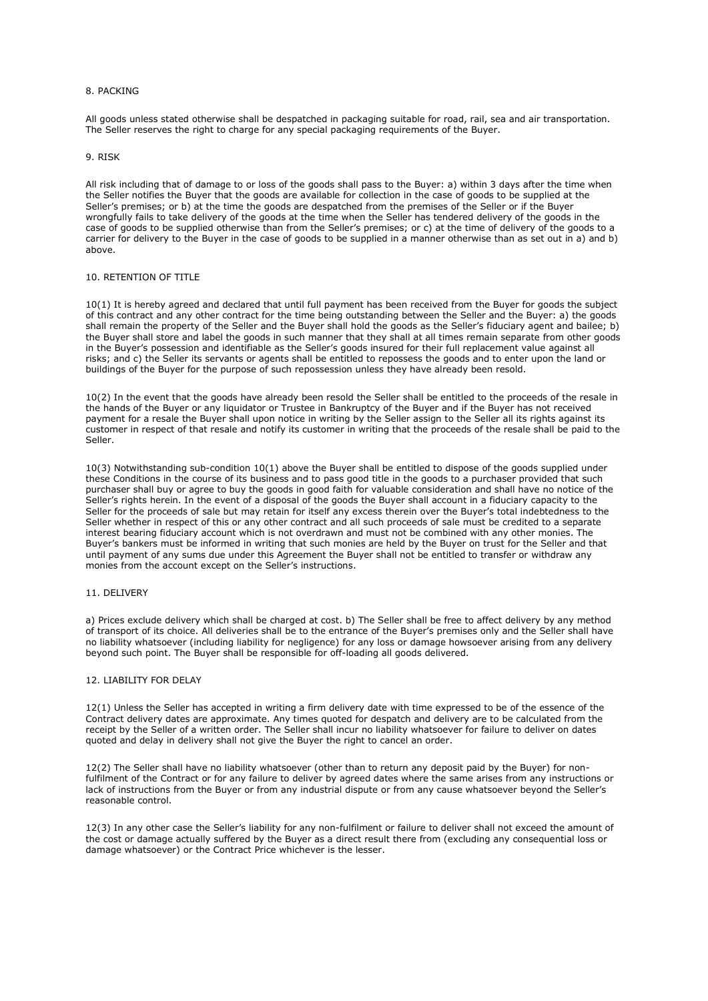## 8. PACKING

All goods unless stated otherwise shall be despatched in packaging suitable for road, rail, sea and air transportation. The Seller reserves the right to charge for any special packaging requirements of the Buyer.

#### 9. RISK

All risk including that of damage to or loss of the goods shall pass to the Buyer: a) within 3 days after the time when the Seller notifies the Buyer that the goods are available for collection in the case of goods to be supplied at the Seller's premises; or b) at the time the goods are despatched from the premises of the Seller or if the Buyer wrongfully fails to take delivery of the goods at the time when the Seller has tendered delivery of the goods in the case of goods to be supplied otherwise than from the Seller's premises; or c) at the time of delivery of the goods to a carrier for delivery to the Buyer in the case of goods to be supplied in a manner otherwise than as set out in a) and b) above.

# 10. RETENTION OF TITLE

10(1) It is hereby agreed and declared that until full payment has been received from the Buyer for goods the subject of this contract and any other contract for the time being outstanding between the Seller and the Buyer: a) the goods shall remain the property of the Seller and the Buyer shall hold the goods as the Seller's fiduciary agent and bailee; b) the Buyer shall store and label the goods in such manner that they shall at all times remain separate from other goods in the Buyer's possession and identifiable as the Seller's goods insured for their full replacement value against all risks; and c) the Seller its servants or agents shall be entitled to repossess the goods and to enter upon the land or buildings of the Buyer for the purpose of such repossession unless they have already been resold.

10(2) In the event that the goods have already been resold the Seller shall be entitled to the proceeds of the resale in the hands of the Buyer or any liquidator or Trustee in Bankruptcy of the Buyer and if the Buyer has not received payment for a resale the Buyer shall upon notice in writing by the Seller assign to the Seller all its rights against its customer in respect of that resale and notify its customer in writing that the proceeds of the resale shall be paid to the Seller.

10(3) Notwithstanding sub-condition 10(1) above the Buyer shall be entitled to dispose of the goods supplied under these Conditions in the course of its business and to pass good title in the goods to a purchaser provided that such purchaser shall buy or agree to buy the goods in good faith for valuable consideration and shall have no notice of the Seller's rights herein. In the event of a disposal of the goods the Buyer shall account in a fiduciary capacity to the Seller for the proceeds of sale but may retain for itself any excess therein over the Buyer's total indebtedness to the Seller whether in respect of this or any other contract and all such proceeds of sale must be credited to a separate interest bearing fiduciary account which is not overdrawn and must not be combined with any other monies. The Buyer's bankers must be informed in writing that such monies are held by the Buyer on trust for the Seller and that until payment of any sums due under this Agreement the Buyer shall not be entitled to transfer or withdraw any monies from the account except on the Seller's instructions.

## 11. DELIVERY

a) Prices exclude delivery which shall be charged at cost. b) The Seller shall be free to affect delivery by any method of transport of its choice. All deliveries shall be to the entrance of the Buyer's premises only and the Seller shall have no liability whatsoever (including liability for negligence) for any loss or damage howsoever arising from any delivery beyond such point. The Buyer shall be responsible for off-loading all goods delivered.

#### 12. LIABILITY FOR DELAY

12(1) Unless the Seller has accepted in writing a firm delivery date with time expressed to be of the essence of the Contract delivery dates are approximate. Any times quoted for despatch and delivery are to be calculated from the receipt by the Seller of a written order. The Seller shall incur no liability whatsoever for failure to deliver on dates quoted and delay in delivery shall not give the Buyer the right to cancel an order.

12(2) The Seller shall have no liability whatsoever (other than to return any deposit paid by the Buyer) for nonfulfilment of the Contract or for any failure to deliver by agreed dates where the same arises from any instructions or lack of instructions from the Buyer or from any industrial dispute or from any cause whatsoever beyond the Seller's reasonable control.

12(3) In any other case the Seller's liability for any non-fulfilment or failure to deliver shall not exceed the amount of the cost or damage actually suffered by the Buyer as a direct result there from (excluding any consequential loss or damage whatsoever) or the Contract Price whichever is the lesser.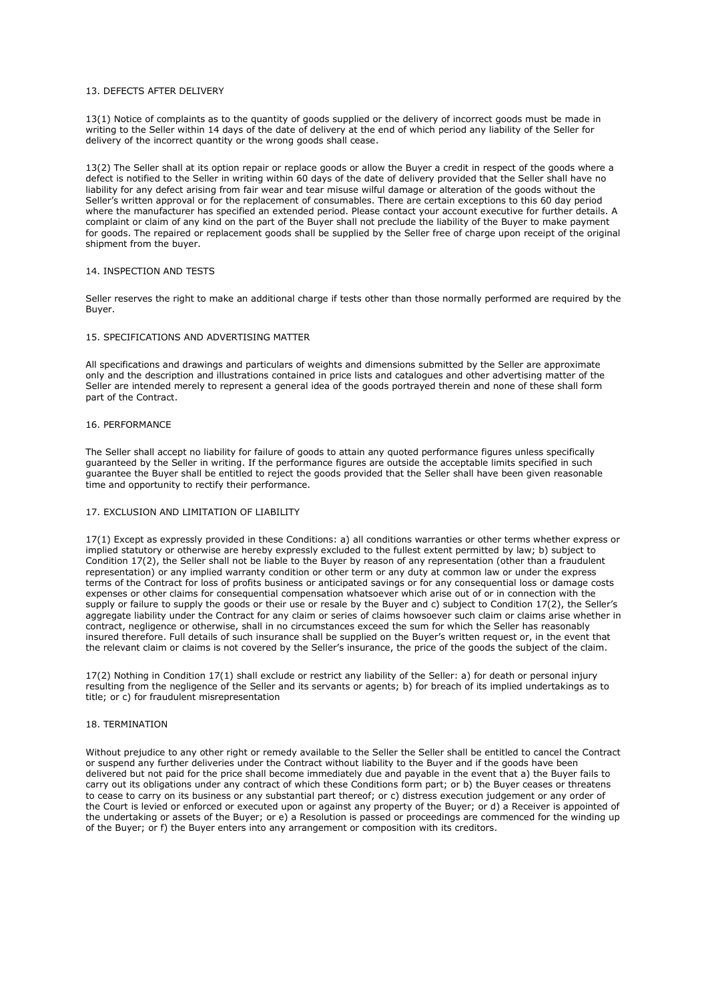# 13. DEFECTS AFTER DELIVERY

13(1) Notice of complaints as to the quantity of goods supplied or the delivery of incorrect goods must be made in writing to the Seller within 14 days of the date of delivery at the end of which period any liability of the Seller for delivery of the incorrect quantity or the wrong goods shall cease.

13(2) The Seller shall at its option repair or replace goods or allow the Buyer a credit in respect of the goods where a defect is notified to the Seller in writing within 60 days of the date of delivery provided that the Seller shall have no liability for any defect arising from fair wear and tear misuse wilful damage or alteration of the goods without the Seller's written approval or for the replacement of consumables. There are certain exceptions to this 60 day period where the manufacturer has specified an extended period. Please contact your account executive for further details. A complaint or claim of any kind on the part of the Buyer shall not preclude the liability of the Buyer to make payment for goods. The repaired or replacement goods shall be supplied by the Seller free of charge upon receipt of the original shipment from the buyer.

## 14. INSPECTION AND TESTS

Seller reserves the right to make an additional charge if tests other than those normally performed are required by the Buyer.

## 15. SPECIFICATIONS AND ADVERTISING MATTER

All specifications and drawings and particulars of weights and dimensions submitted by the Seller are approximate only and the description and illustrations contained in price lists and catalogues and other advertising matter of the Seller are intended merely to represent a general idea of the goods portrayed therein and none of these shall form part of the Contract.

# 16. PERFORMANCE

The Seller shall accept no liability for failure of goods to attain any quoted performance figures unless specifically guaranteed by the Seller in writing. If the performance figures are outside the acceptable limits specified in such guarantee the Buyer shall be entitled to reject the goods provided that the Seller shall have been given reasonable time and opportunity to rectify their performance.

#### 17. EXCLUSION AND LIMITATION OF LIABILITY

17(1) Except as expressly provided in these Conditions: a) all conditions warranties or other terms whether express or implied statutory or otherwise are hereby expressly excluded to the fullest extent permitted by law; b) subject to Condition 17(2), the Seller shall not be liable to the Buyer by reason of any representation (other than a fraudulent representation) or any implied warranty condition or other term or any duty at common law or under the express terms of the Contract for loss of profits business or anticipated savings or for any consequential loss or damage costs expenses or other claims for consequential compensation whatsoever which arise out of or in connection with the supply or failure to supply the goods or their use or resale by the Buyer and c) subject to Condition 17(2), the Seller's aggregate liability under the Contract for any claim or series of claims howsoever such claim or claims arise whether in contract, negligence or otherwise, shall in no circumstances exceed the sum for which the Seller has reasonably insured therefore. Full details of such insurance shall be supplied on the Buyer's written request or, in the event that the relevant claim or claims is not covered by the Seller's insurance, the price of the goods the subject of the claim.

17(2) Nothing in Condition 17(1) shall exclude or restrict any liability of the Seller: a) for death or personal injury resulting from the negligence of the Seller and its servants or agents; b) for breach of its implied undertakings as to title; or c) for fraudulent misrepresentation

## 18. TERMINATION

Without prejudice to any other right or remedy available to the Seller the Seller shall be entitled to cancel the Contract or suspend any further deliveries under the Contract without liability to the Buyer and if the goods have been delivered but not paid for the price shall become immediately due and payable in the event that a) the Buyer fails to carry out its obligations under any contract of which these Conditions form part; or b) the Buyer ceases or threatens to cease to carry on its business or any substantial part thereof; or c) distress execution judgement or any order of the Court is levied or enforced or executed upon or against any property of the Buyer; or d) a Receiver is appointed of the undertaking or assets of the Buyer; or e) a Resolution is passed or proceedings are commenced for the winding up of the Buyer; or f) the Buyer enters into any arrangement or composition with its creditors.